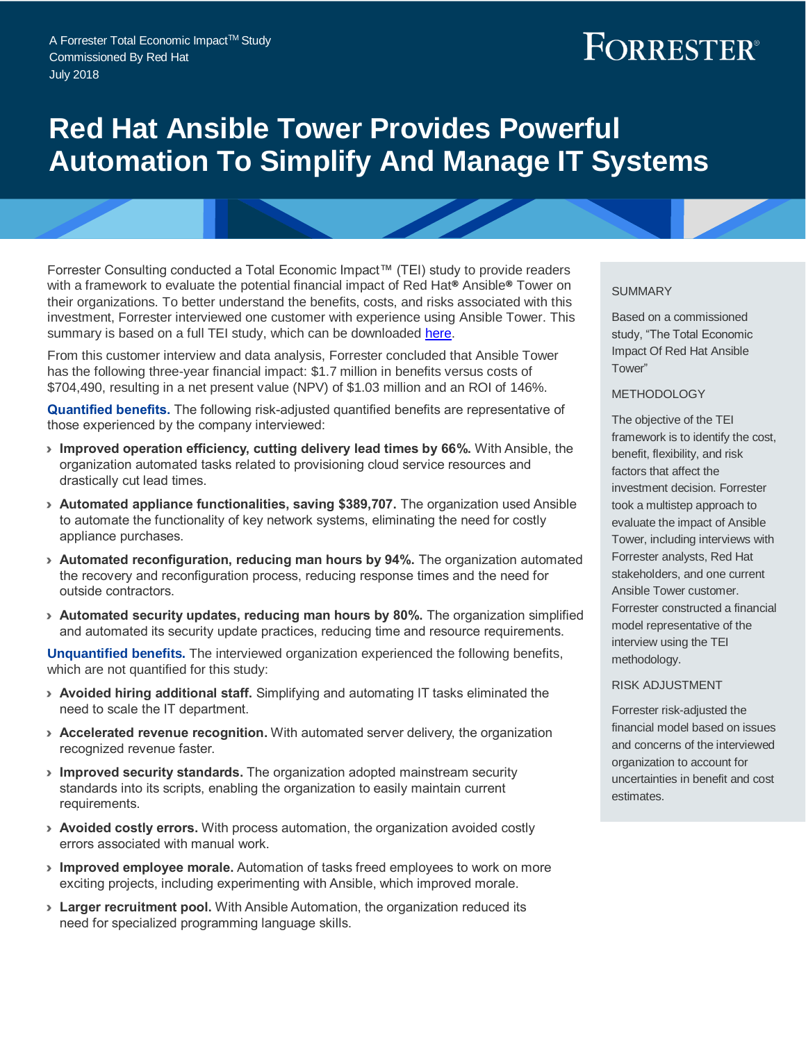# FORRESTER®

## **Red Hat Ansible Tower Provides Powerful Automation To Simplify And Manage IT Systems**

Forrester Consulting conducted a Total Economic Impact™ (TEI) study to provide readers with a framework to evaluate the potential financial impact of Red Hat**®** Ansible**®** Tower on their organizations. To better understand the benefits, costs, and risks associated with this investment, Forrester interviewed one customer with experience using Ansible Tower. This summary is based on a full TEI study, which can be downloaded [here.](https://www.redhat.com/en/engage/total-economic-impact-ansible-tower-20180710)

From this customer interview and data analysis, Forrester concluded that Ansible Tower has the following three-year financial impact: \$1.7 million in benefits versus costs of \$704,490, resulting in a net present value (NPV) of \$1.03 million and an ROI of 146%.

**Quantified benefits.** The following risk-adjusted quantified benefits are representative of those experienced by the company interviewed:

- › **Improved operation efficiency, cutting delivery lead times by 66%.** With Ansible, the organization automated tasks related to provisioning cloud service resources and drastically cut lead times.
- › **Automated appliance functionalities, saving \$389,707.** The organization used Ansible to automate the functionality of key network systems, eliminating the need for costly appliance purchases.
- › **Automated reconfiguration, reducing man hours by 94%.** The organization automated the recovery and reconfiguration process, reducing response times and the need for outside contractors.
- › **Automated security updates, reducing man hours by 80%.** The organization simplified and automated its security update practices, reducing time and resource requirements.

**Unquantified benefits.** The interviewed organization experienced the following benefits, which are not quantified for this study:

- › **Avoided hiring additional staff.** Simplifying and automating IT tasks eliminated the need to scale the IT department.
- › **Accelerated revenue recognition.** With automated server delivery, the organization recognized revenue faster.
- › **Improved security standards.** The organization adopted mainstream security standards into its scripts, enabling the organization to easily maintain current requirements.
- › **Avoided costly errors.** With process automation, the organization avoided costly errors associated with manual work.
- › **Improved employee morale.** Automation of tasks freed employees to work on more exciting projects, including experimenting with Ansible, which improved morale.
- › **Larger recruitment pool.** With Ansible Automation, the organization reduced its need for specialized programming language skills.

#### **SUMMARY**

Based on a commissioned study, "The Total Economic Impact Of Red Hat Ansible Tower"

#### METHODOLOGY

The objective of the TEI framework is to identify the cost, benefit, flexibility, and risk factors that affect the investment decision. Forrester took a multistep approach to evaluate the impact of Ansible Tower, including interviews with Forrester analysts, Red Hat stakeholders, and one current Ansible Tower customer. Forrester constructed a financial model representative of the interview using the TEI methodology.

#### RISK ADJUSTMENT

Forrester risk-adjusted the financial model based on issues and concerns of the interviewed organization to account for uncertainties in benefit and cost estimates.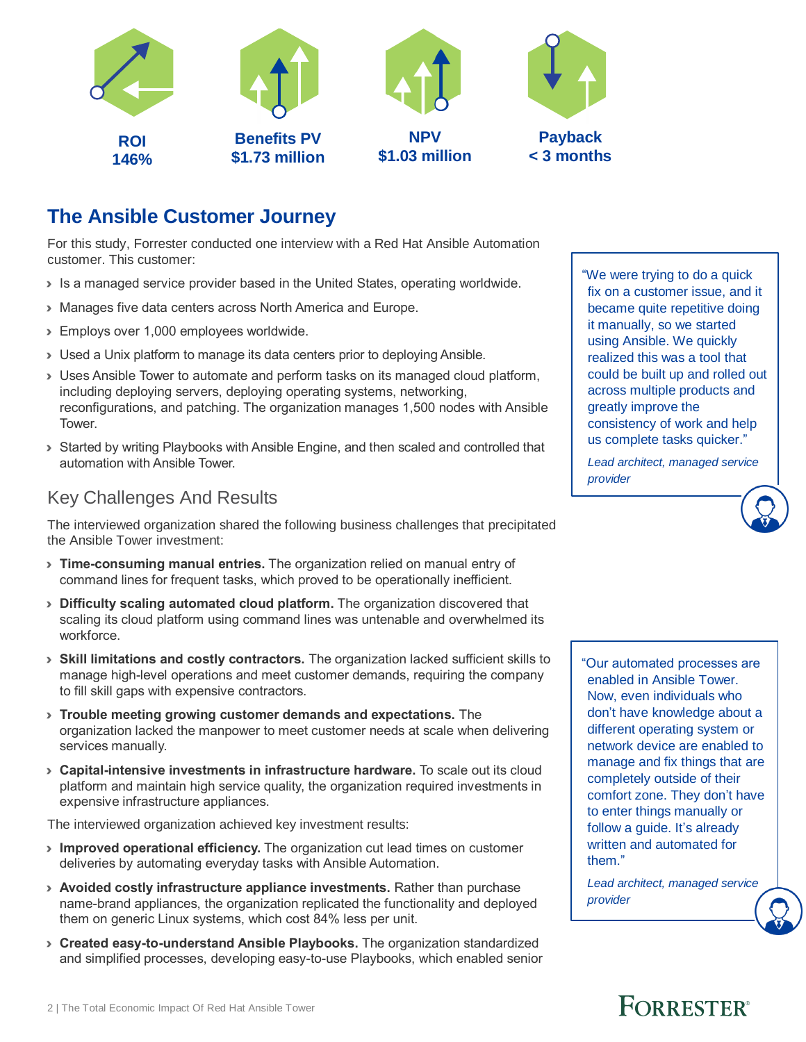

## **The Ansible Customer Journey**

For this study, Forrester conducted one interview with a Red Hat Ansible Automation customer. This customer:

- › Is a managed service provider based in the United States, operating worldwide.
- › Manages five data centers across North America and Europe.
- › Employs over 1,000 employees worldwide.
- › Used a Unix platform to manage its data centers prior to deploying Ansible.
- › Uses Ansible Tower to automate and perform tasks on its managed cloud platform, including deploying servers, deploying operating systems, networking, reconfigurations, and patching. The organization manages 1,500 nodes with Ansible Tower.
- › Started by writing Playbooks with Ansible Engine, and then scaled and controlled that automation with Ansible Tower.

#### Key Challenges And Results

The interviewed organization shared the following business challenges that precipitated the Ansible Tower investment:

- › **Time-consuming manual entries.** The organization relied on manual entry of command lines for frequent tasks, which proved to be operationally inefficient.
- › **Difficulty scaling automated cloud platform.** The organization discovered that scaling its cloud platform using command lines was untenable and overwhelmed its workforce.
- › **Skill limitations and costly contractors.** The organization lacked sufficient skills to manage high-level operations and meet customer demands, requiring the company to fill skill gaps with expensive contractors.
- › **Trouble meeting growing customer demands and expectations.** The organization lacked the manpower to meet customer needs at scale when delivering services manually.
- › **Capital-intensive investments in infrastructure hardware.** To scale out its cloud platform and maintain high service quality, the organization required investments in expensive infrastructure appliances.

The interviewed organization achieved key investment results:

- › **Improved operational efficiency.** The organization cut lead times on customer deliveries by automating everyday tasks with Ansible Automation.
- › **Avoided costly infrastructure appliance investments.** Rather than purchase name-brand appliances, the organization replicated the functionality and deployed them on generic Linux systems, which cost 84% less per unit.
- › **Created easy-to-understand Ansible Playbooks.** The organization standardized and simplified processes, developing easy-to-use Playbooks, which enabled senior

"We were trying to do a quick fix on a customer issue, and it became quite repetitive doing it manually, so we started using Ansible. We quickly realized this was a tool that could be built up and rolled out across multiple products and greatly improve the consistency of work and help us complete tasks quicker."

*Lead architect, managed service provider*

"Our automated processes are enabled in Ansible Tower. Now, even individuals who don't have knowledge about a different operating system or network device are enabled to manage and fix things that are completely outside of their comfort zone. They don't have to enter things manually or follow a guide. It's already written and automated for them."

*Lead architect, managed service provider*

## **FORRESTER**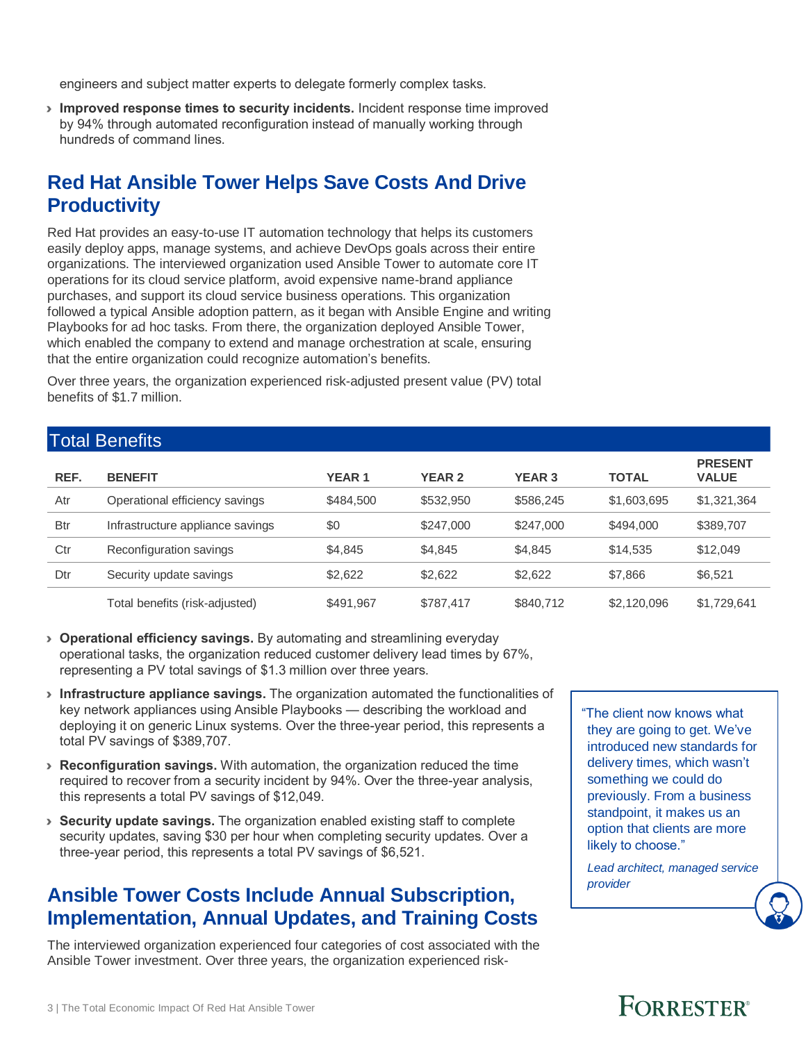engineers and subject matter experts to delegate formerly complex tasks.

› **Improved response times to security incidents.** Incident response time improved by 94% through automated reconfiguration instead of manually working through hundreds of command lines.

## **Red Hat Ansible Tower Helps Save Costs And Drive Productivity**

Red Hat provides an easy-to-use IT automation technology that helps its customers easily deploy apps, manage systems, and achieve DevOps goals across their entire organizations. The interviewed organization used Ansible Tower to automate core IT operations for its cloud service platform, avoid expensive name-brand appliance purchases, and support its cloud service business operations. This organization followed a typical Ansible adoption pattern, as it began with Ansible Engine and writing Playbooks for ad hoc tasks. From there, the organization deployed Ansible Tower, which enabled the company to extend and manage orchestration at scale, ensuring that the entire organization could recognize automation's benefits.

Over three years, the organization experienced risk-adjusted present value (PV) total benefits of \$1.7 million.

### Total Benefits

| REF.       | <b>BENEFIT</b>                   | <b>YEAR1</b> | <b>YEAR 2</b> | <b>YEAR 3</b> | <b>TOTAL</b> | <b>PRESENT</b><br><b>VALUE</b> |
|------------|----------------------------------|--------------|---------------|---------------|--------------|--------------------------------|
| Atr        | Operational efficiency savings   | \$484,500    | \$532,950     | \$586,245     | \$1,603,695  | \$1,321,364                    |
| <b>Btr</b> | Infrastructure appliance savings | \$0          | \$247,000     | \$247,000     | \$494,000    | \$389,707                      |
| Ctr        | Reconfiguration savings          | \$4.845      | \$4.845       | \$4.845       | \$14,535     | \$12,049                       |
| Dtr        | Security update savings          | \$2,622      | \$2,622       | \$2,622       | \$7,866      | \$6,521                        |
|            | Total benefits (risk-adjusted)   | \$491.967    | \$787.417     | \$840,712     | \$2,120,096  | \$1,729,641                    |

- › **Operational efficiency savings.** By automating and streamlining everyday operational tasks, the organization reduced customer delivery lead times by 67%, representing a PV total savings of \$1.3 million over three years.
- › **Infrastructure appliance savings.** The organization automated the functionalities of key network appliances using Ansible Playbooks — describing the workload and deploying it on generic Linux systems. Over the three-year period, this represents a total PV savings of \$389,707.
- › **Reconfiguration savings.** With automation, the organization reduced the time required to recover from a security incident by 94%. Over the three-year analysis, this represents a total PV savings of \$12,049.
- › **Security update savings.** The organization enabled existing staff to complete security updates, saving \$30 per hour when completing security updates. Over a three-year period, this represents a total PV savings of \$6,521.

## **Ansible Tower Costs Include Annual Subscription, Implementation, Annual Updates, and Training Costs**

The interviewed organization experienced four categories of cost associated with the Ansible Tower investment. Over three years, the organization experienced risk"The client now knows what they are going to get. We've introduced new standards for delivery times, which wasn't something we could do previously. From a business standpoint, it makes us an option that clients are more likely to choose."

*Lead architect, managed service provider*

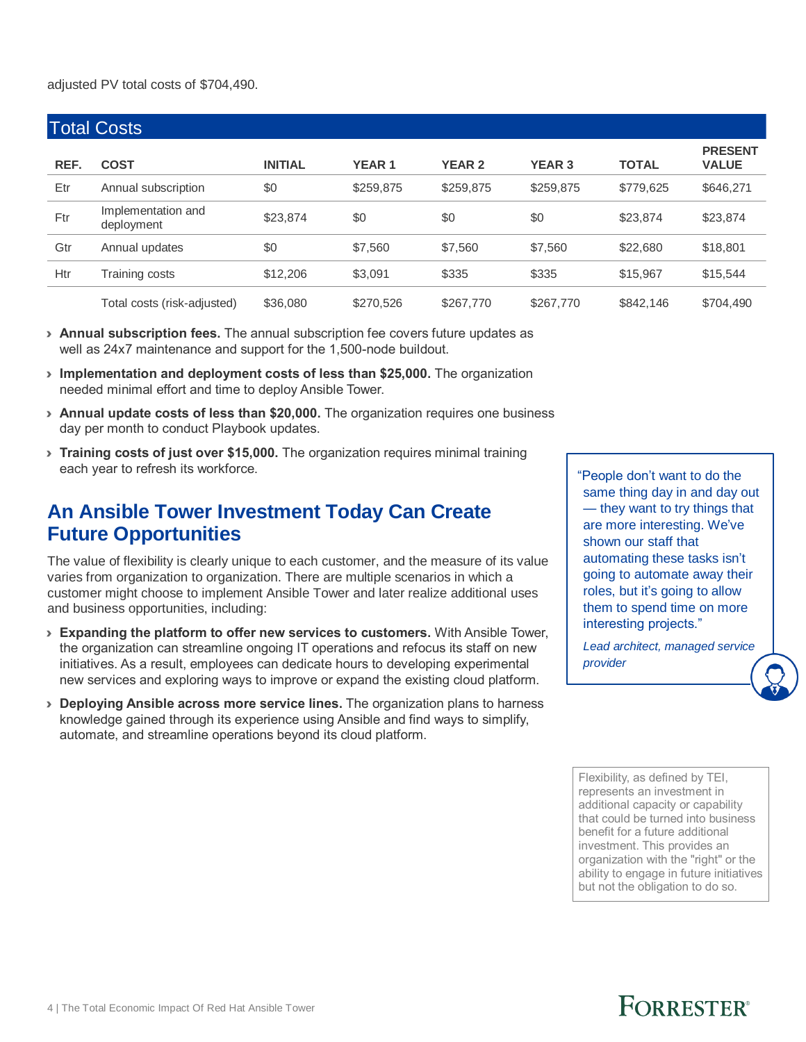#### adjusted PV total costs of \$704,490.

| <b>Total Costs</b> |                                  |                |              |               |               |              |                                |  |  |  |  |
|--------------------|----------------------------------|----------------|--------------|---------------|---------------|--------------|--------------------------------|--|--|--|--|
| REF.               | <b>COST</b>                      | <b>INITIAL</b> | <b>YEAR1</b> | <b>YEAR 2</b> | <b>YEAR 3</b> | <b>TOTAL</b> | <b>PRESENT</b><br><b>VALUE</b> |  |  |  |  |
| Etr                | Annual subscription              | \$0            | \$259,875    | \$259,875     | \$259,875     | \$779,625    | \$646,271                      |  |  |  |  |
| Ftr                | Implementation and<br>deployment | \$23,874       | \$0          | \$0           | \$0           | \$23,874     | \$23,874                       |  |  |  |  |
| Gtr                | Annual updates                   | \$0            | \$7,560      | \$7,560       | \$7,560       | \$22,680     | \$18,801                       |  |  |  |  |
| Htr                | Training costs                   | \$12,206       | \$3.091      | \$335         | \$335         | \$15,967     | \$15,544                       |  |  |  |  |
|                    | Total costs (risk-adjusted)      | \$36,080       | \$270,526    | \$267,770     | \$267,770     | \$842,146    | \$704,490                      |  |  |  |  |

- › **Annual subscription fees.** The annual subscription fee covers future updates as well as 24x7 maintenance and support for the 1,500-node buildout.
- › **Implementation and deployment costs of less than \$25,000.** The organization needed minimal effort and time to deploy Ansible Tower.
- › **Annual update costs of less than \$20,000.** The organization requires one business day per month to conduct Playbook updates.
- › **Training costs of just over \$15,000.** The organization requires minimal training each year to refresh its workforce.

## **An Ansible Tower Investment Today Can Create Future Opportunities**

The value of flexibility is clearly unique to each customer, and the measure of its value varies from organization to organization. There are multiple scenarios in which a customer might choose to implement Ansible Tower and later realize additional uses and business opportunities, including:

- › **Expanding the platform to offer new services to customers.** With Ansible Tower, the organization can streamline ongoing IT operations and refocus its staff on new initiatives. As a result, employees can dedicate hours to developing experimental new services and exploring ways to improve or expand the existing cloud platform.
- › **Deploying Ansible across more service lines.** The organization plans to harness knowledge gained through its experience using Ansible and find ways to simplify, automate, and streamline operations beyond its cloud platform.

"People don't want to do the same thing day in and day out — they want to try things that are more interesting. We've shown our staff that automating these tasks isn't going to automate away their roles, but it's going to allow them to spend time on more interesting projects."

*Lead architect, managed service provider*

Flexibility, as defined by TEI, represents an investment in additional capacity or capability that could be turned into business benefit for a future additional investment. This provides an organization with the "right" or the ability to engage in future initiatives but not the obligation to do so.